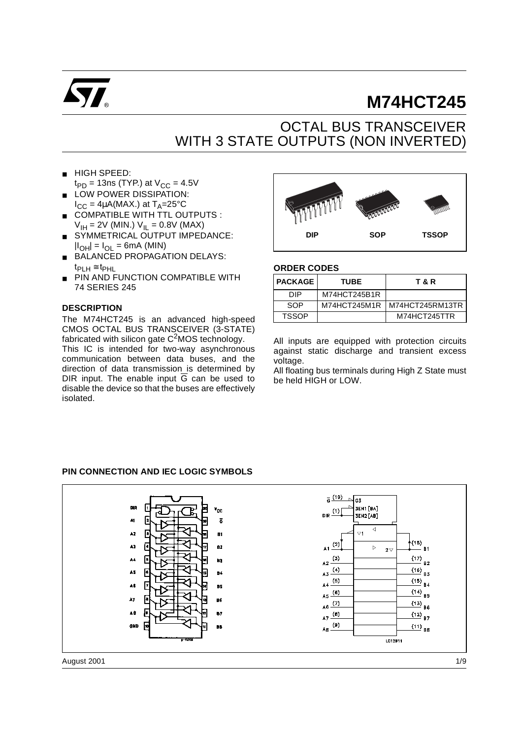

# **M74HCT245**

# OCTAL BUS TRANSCEIVER WITH 3 STATE OUTPUTS (NON INVERTED)

- HIGH SPEED:
- $t_{PD}$  = 13ns (TYP.) at  $V_{CC}$  = 4.5V ■ LOW POWER DISSIPATION:
- $I_{CC} = 4\mu A(MAX.)$  at  $T_A = 25^{\circ}C$ ■ COMPATIBLE WITH TTL OUTPUTS :
- $V_{\text{IH}} = 2V$  (MIN.)  $V_{\text{IL}} = 0.8V$  (MAX)
- SYMMETRICAL OUTPUT IMPEDANCE:  $|I_{\text{OH}}| = I_{\text{OH}} = 6$ mA (MIN)
- BALANCED PROPAGATION DELAYS:  $t_{\text{PLH}} \cong t_{\text{PHL}}$
- PIN AND FUNCTION COMPATIBLE WITH 74 SERIES 245

#### **DESCRIPTION**

The M74HCT245 is an advanced high-speed CMOS OCTAL BUS TRANSCEIVER (3-STATE) fabricated with silicon gate  $C<sup>2</sup>MOS$  technology.

This IC is intended for two-way asynchronous communication between data buses, and the direction of data transmission is determined by DIR input. The enable input  $\overline{G}$  can be used to disable the device so that the buses are effectively isolated.



#### **ORDER CODES**

| <b>PACKAGE</b> | <b>TUBE</b>  | T & R             |
|----------------|--------------|-------------------|
| DIP            | M74HCT245B1R |                   |
| SOP            | M74HCT245M1R | I M74HCT245RM13TR |
| <b>TSSOP</b>   |              | M74HCT245TTR      |

All inputs are equipped with protection circuits against static discharge and transient excess voltage.

All floating bus terminals during High Z State must be held HIGH or LOW.

#### **PIN CONNECTION AND IEC LOGIC SYMBOLS**

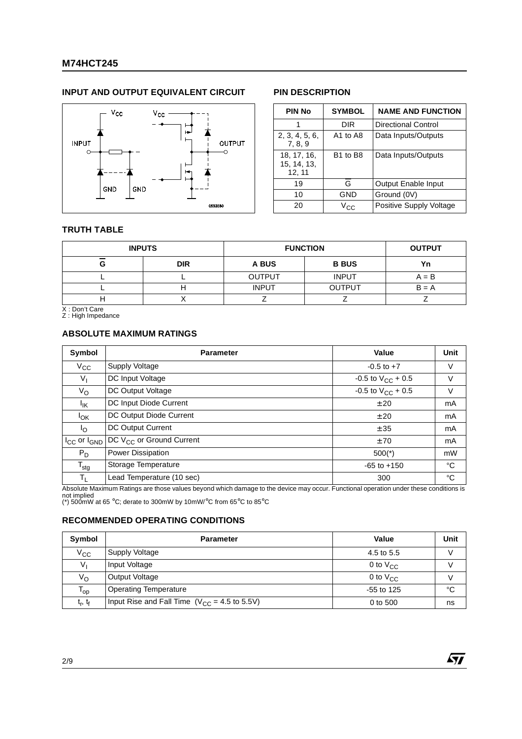### **M74HCT245**

#### **INPUT AND OUTPUT EQUIVALENT CIRCUIT PIN DESCRIPTION**



| <b>PIN No</b>                        | <b>SYMBOL</b>                    | <b>NAME AND FUNCTION</b> |
|--------------------------------------|----------------------------------|--------------------------|
|                                      | DIR                              | Directional Control      |
| 2, 3, 4, 5, 6,<br>7, 8, 9            | A1 to A8                         | Data Inputs/Outputs      |
| 18, 17, 16,<br>15, 14, 13,<br>12, 11 | B <sub>1</sub> to B <sub>8</sub> | Data Inputs/Outputs      |
| 19                                   | G                                | Output Enable Input      |
| 10                                   | GND                              | Ground (0V)              |
| 20                                   | $V_{\rm CC}$                     | Positive Supply Voltage  |

57

#### **TRUTH TABLE**

|   | <b>INPUTS</b> | <b>FUNCTION</b> | <b>OUTPUT</b> |         |
|---|---------------|-----------------|---------------|---------|
| G | <b>DIR</b>    | A BUS           | <b>B BUS</b>  | Yn      |
|   |               | <b>OUTPUT</b>   | <b>INPUT</b>  | $A = B$ |
|   |               | <b>INPUT</b>    | <b>OUTPUT</b> | $B = A$ |
| . |               |                 |               |         |

X : Don't Care Z : High Impedance

## **ABSOLUTE MAXIMUM RATINGS**

| Symbol                | <b>Parameter</b>                     | Value                    | Unit |
|-----------------------|--------------------------------------|--------------------------|------|
| $V_{\rm CC}$          | <b>Supply Voltage</b>                | $-0.5$ to $+7$           | V    |
| $V_{I}$               | DC Input Voltage                     | -0.5 to $V_{CC}$ + 0.5   | V    |
| $V_{\rm O}$           | DC Output Voltage                    | $-0.5$ to $V_{CC}$ + 0.5 | V    |
| <sup>I</sup> IK       | DC Input Diode Current               | ± 20                     | mA   |
| <b>I</b> OK           | DC Output Diode Current              | ± 20                     | mA   |
| $I_{\rm O}$           | DC Output Current                    | ± 35                     | mA   |
| $I_{CC}$ or $I_{GND}$ | DC V <sub>CC</sub> or Ground Current | ±70                      | mA   |
| $P_D$                 | Power Dissipation                    | $500(*)$                 | mW   |
| $T_{\text{stg}}$      | Storage Temperature                  | $-65$ to $+150$          | °C   |
| T <sub>L</sub>        | Lead Temperature (10 sec)            | 300                      | °C   |

Absolute Maximum Ratings are those values beyond which damage to the device may occur. Functional operation under these conditions is<br>not implied<br>(\*) 500mW at 65 °C; derate to 300mW by 10mW/°C from 65°C to 85°C

#### **RECOMMENDED OPERATING CONDITIONS**

| Symbol                     | <b>Parameter</b>                                  | Value         | <b>Unit</b> |
|----------------------------|---------------------------------------------------|---------------|-------------|
| $V_{\rm CC}$               | Supply Voltage                                    | 4.5 to 5.5    |             |
| V <sub>1</sub>             | Input Voltage                                     | 0 to $V_{CC}$ |             |
| Vo                         | Output Voltage                                    | 0 to $V_{CC}$ |             |
| $\mathsf{T}_{\mathsf{op}}$ | <b>Operating Temperature</b>                      | $-55$ to 125  | °C          |
| $t_{r}$ , $t_{f}$          | Input Rise and Fall Time $(V_{CC} = 4.5$ to 5.5V) | 0 to 500      | ns          |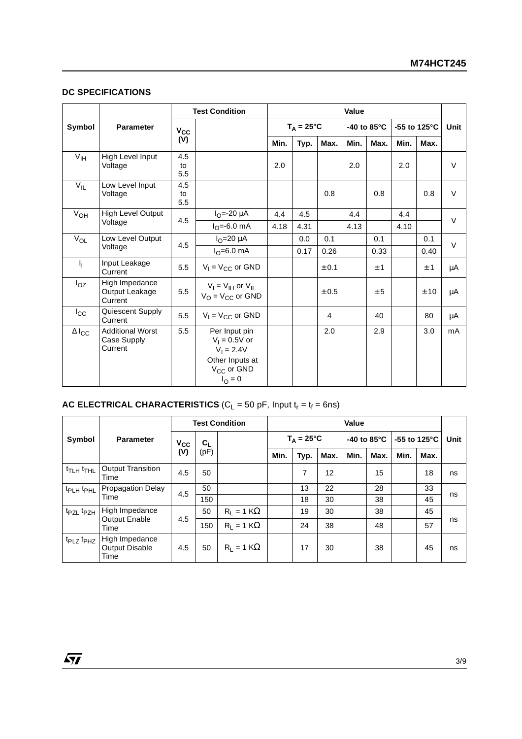#### **DC SPECIFICATIONS**

|                     |                                                   |                        | <b>Test Condition</b>                                                                                            | <b>Value</b> |      |                     |      |                       |              |      |         |
|---------------------|---------------------------------------------------|------------------------|------------------------------------------------------------------------------------------------------------------|--------------|------|---------------------|------|-----------------------|--------------|------|---------|
| Symbol              | <b>Parameter</b>                                  | $V_{CC}$               |                                                                                                                  |              |      | $T_A = 25^{\circ}C$ |      | -40 to $85^{\circ}$ C | -55 to 125°C |      | Unit    |
|                     |                                                   | (V)                    |                                                                                                                  | Min.         | Typ. | Max.                | Min. | Max.                  | Min.         | Max. |         |
| V <sub>IH</sub>     | High Level Input<br>Voltage                       | 4.5<br>to<br>5.5       |                                                                                                                  | 2.0          |      |                     | 2.0  |                       | 2.0          |      | $\vee$  |
| $V_{IL}$            | Low Level Input<br>Voltage                        | 4.5<br>to<br>5.5       |                                                                                                                  |              |      | 0.8                 |      | 0.8                   |              | 0.8  | $\vee$  |
| $V_{OH}$            | High Level Output                                 | 4.5                    | $I_{\Omega} = -20 \mu A$                                                                                         | 4.4          | 4.5  |                     | 4.4  |                       | 4.4          |      | $\vee$  |
| Voltage             |                                                   | $I_{\Omega} = -6.0$ mA | 4.18                                                                                                             | 4.31         |      | 4.13                |      | 4.10                  |              |      |         |
| $V_{OL}$            | Low Level Output                                  | 4.5                    | $I_{\Omega}$ =20 $\mu$ A                                                                                         |              | 0.0  | 0.1                 |      | 0.1                   |              | 0.1  | $\vee$  |
|                     | Voltage                                           |                        | $I_0 = 6.0$ mA                                                                                                   |              | 0.17 | 0.26                |      | 0.33                  |              | 0.40 |         |
| h,                  | Input Leakage<br>Current                          | 5.5                    | $V_1 = V_{CC}$ or GND                                                                                            |              |      | ± 0.1               |      | ±1                    |              | ±1   | μA      |
| $I_{OZ}$            | High Impedance<br>Output Leakage<br>Current       | 5.5                    | $V_I = V_{IH}$ or $V_{IL}$<br>$V_{\Omega}$ = $V_{\text{CC}}$ or GND                                              |              |      | ± 0.5               |      | ± 5                   |              | ± 10 | $\mu$ A |
| $I_{\rm CC}$        | Quiescent Supply<br>Current                       | 5.5                    | $V_1 = V_{CC}$ or GND                                                                                            |              |      | 4                   |      | 40                    |              | 80   | μA      |
| $\Delta I_{\rm CC}$ | <b>Additional Worst</b><br>Case Supply<br>Current | 5.5                    | Per Input pin<br>$V_1 = 0.5V$ or<br>$V_1 = 2.4V$<br>Other Inputs at<br>V <sub>CC</sub> or GND<br>$I_{\rm O} = 0$ |              |      | 2.0                 |      | 2.9                   |              | 3.0  | mA      |

#### **AC ELECTRICAL CHARACTERISTICS** ( $C_L$  = 50 pF, Input  $t_r = t_f = 6$ ns)

|                                   |                                          | <b>Test Condition</b> |               |                   | <b>Value</b> |                     |      |                       |      |      |                         |      |
|-----------------------------------|------------------------------------------|-----------------------|---------------|-------------------|--------------|---------------------|------|-----------------------|------|------|-------------------------|------|
| Symbol                            | <b>Parameter</b>                         | $V_{CC}$<br>(V)       | $C_L$<br>(pF) |                   |              | $T_A = 25^{\circ}C$ |      | -40 to $85^{\circ}$ C |      |      | -55 to 125 $^{\circ}$ C | Unit |
|                                   |                                          |                       |               |                   | Min.         | Typ.                | Max. | Min.                  | Max. | Min. | Max.                    |      |
| t <sub>TLH</sub> t <sub>THL</sub> | <b>Output Transition</b><br>Time         | 4.5                   | 50            |                   |              | 7                   | 12   |                       | 15   |      | 18                      | ns   |
| t <sub>PLH</sub> t <sub>PHL</sub> | <b>Propagation Delay</b>                 | 4.5                   | 50            |                   |              | 13                  | 22   |                       | 28   |      | 33                      | ns   |
|                                   | Time                                     |                       | 150           |                   |              | 18                  | 30   |                       | 38   |      | 45                      |      |
| t <sub>PZL</sub> t <sub>PZH</sub> | High Impedance                           |                       | 50            | $R_1 = 1 K\Omega$ |              | 19                  | 30   |                       | 38   |      | 45                      |      |
|                                   | <b>Output Enable</b><br>Time             | 4.5                   | 150           | $R_1 = 1 K\Omega$ |              | 24                  | 38   |                       | 48   |      | 57                      | ns   |
| t <sub>PLZ</sub> t <sub>PHZ</sub> | High Impedance<br>Output Disable<br>Time | 4.5                   | 50            | $R_1 = 1 K\Omega$ |              | 17                  | 30   |                       | 38   |      | 45                      | ns   |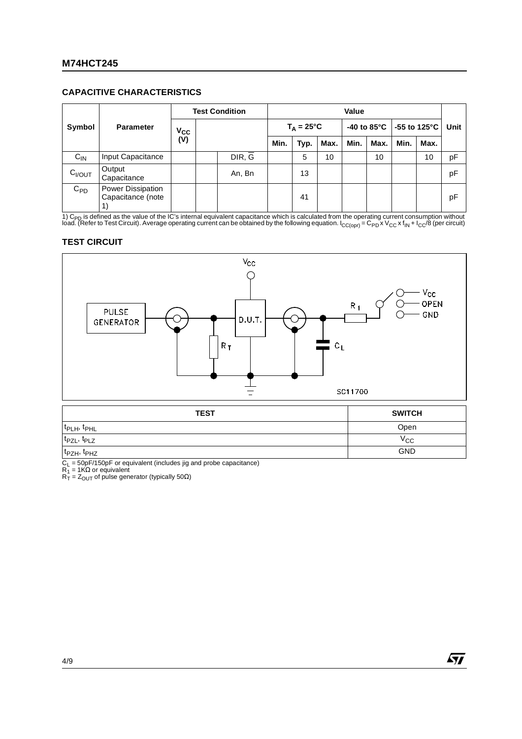#### **CAPACITIVE CHARACTERISTICS**

| Symbol             |                                        | <b>Test Condition</b> |  |        | Value               |      |      |                        |      |              |      |      |
|--------------------|----------------------------------------|-----------------------|--|--------|---------------------|------|------|------------------------|------|--------------|------|------|
|                    | <b>Parameter</b>                       | $V_{CC}$              |  |        | $T_A = 25^{\circ}C$ |      |      | -40 to 85 $^{\circ}$ C |      | -55 to 125°C |      | Unit |
|                    |                                        | (V)                   |  |        | Min.                | Typ. | Max. | Min.                   | Max. | Min.         | Max. |      |
| $C_{IN}$           | Input Capacitance                      |                       |  | DIR, G |                     | 5    | 10   |                        | 10   |              | 10   | pF   |
| C <sub>I/OUT</sub> | Output<br>Capacitance                  |                       |  | An, Bn |                     | 13   |      |                        |      |              |      | pF   |
| $C_{PD}$           | Power Dissipation<br>Capacitance (note |                       |  |        |                     | 41   |      |                        |      |              |      | рF   |

1) C<sub>PD</sub> is defined as the value of the IC's internal equivalent capacitance which is calculated from the operating current consumption without<br>load. (Refer to Test Circuit). Average operating current can be obtained by th

#### **TEST CIRCUIT**



| <b>TEST</b>                         | <b>SWITCH</b> |
|-------------------------------------|---------------|
| t <sub>PLH</sub> , t <sub>PHL</sub> | Open          |
| t <sub>PZL</sub> , t <sub>PLZ</sub> | $V_{\rm CC}$  |
| t <sub>PZH</sub> , t <sub>PHZ</sub> | <b>GND</b>    |

C<sub>L</sub> = 50pF/150pF or equivalent (includes jig and probe capacitance)<br>R<sub>1</sub> = 1KΩ or equivalent<br>R<sub>T</sub> = Z<sub>OUT</sub> of pulse generator (typically 50Ω)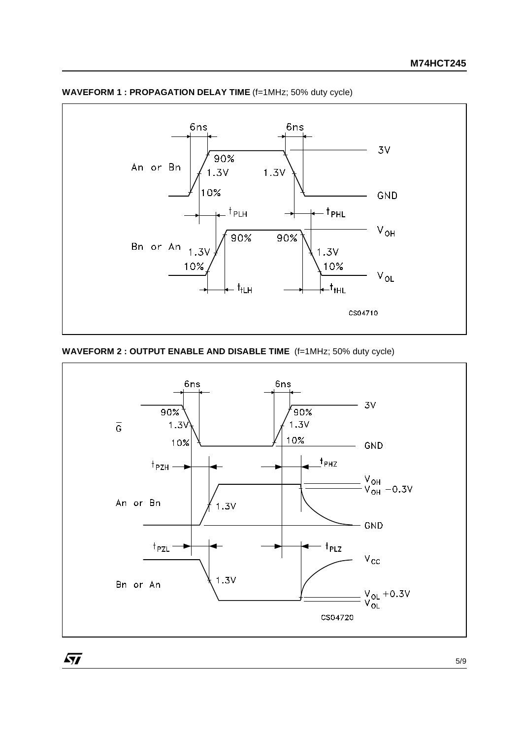

**WAVEFORM 1 : PROPAGATION DELAY TIME** (f=1MHz; 50% duty cycle)

#### **WAVEFORM 2 : OUTPUT ENABLE AND DISABLE TIME** (f=1MHz; 50% duty cycle)

 $\sqrt{27}$ 

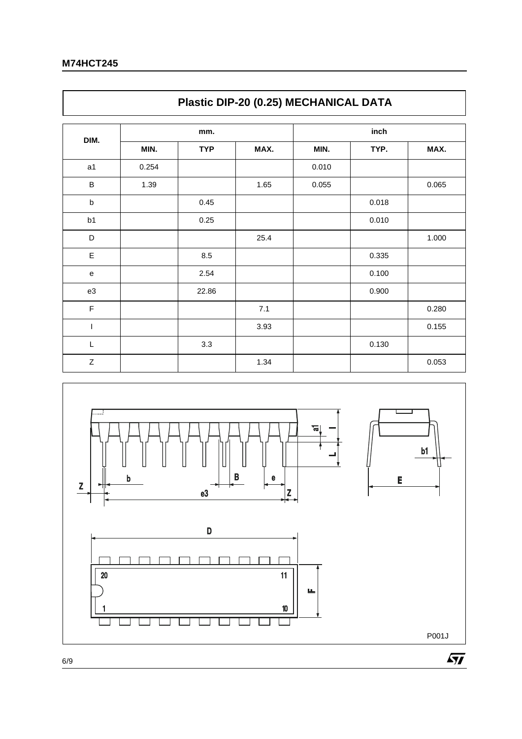$\Gamma$ 

|             | Plastic DIP-20 (0.25) MECHANICAL DATA |            |      |       |       |       |  |  |  |  |
|-------------|---------------------------------------|------------|------|-------|-------|-------|--|--|--|--|
|             |                                       | mm.        |      | inch  |       |       |  |  |  |  |
| DIM.        | MIN.                                  | <b>TYP</b> | MAX. | MIN.  | TYP.  | MAX.  |  |  |  |  |
| a1          | 0.254                                 |            |      | 0.010 |       |       |  |  |  |  |
| B           | 1.39                                  |            | 1.65 | 0.055 |       | 0.065 |  |  |  |  |
| $\sf b$     |                                       | 0.45       |      |       | 0.018 |       |  |  |  |  |
| b1          |                                       | 0.25       |      |       | 0.010 |       |  |  |  |  |
| D           |                                       |            | 25.4 |       |       | 1.000 |  |  |  |  |
| E           |                                       | 8.5        |      |       | 0.335 |       |  |  |  |  |
| ${\bf e}$   |                                       | 2.54       |      |       | 0.100 |       |  |  |  |  |
| e3          |                                       | 22.86      |      |       | 0.900 |       |  |  |  |  |
| $\mathsf F$ |                                       |            | 7.1  |       |       | 0.280 |  |  |  |  |
| T           |                                       |            | 3.93 |       |       | 0.155 |  |  |  |  |
| $\mathsf L$ |                                       | 3.3        |      |       | 0.130 |       |  |  |  |  |
| $\mathsf Z$ |                                       |            | 1.34 |       |       | 0.053 |  |  |  |  |

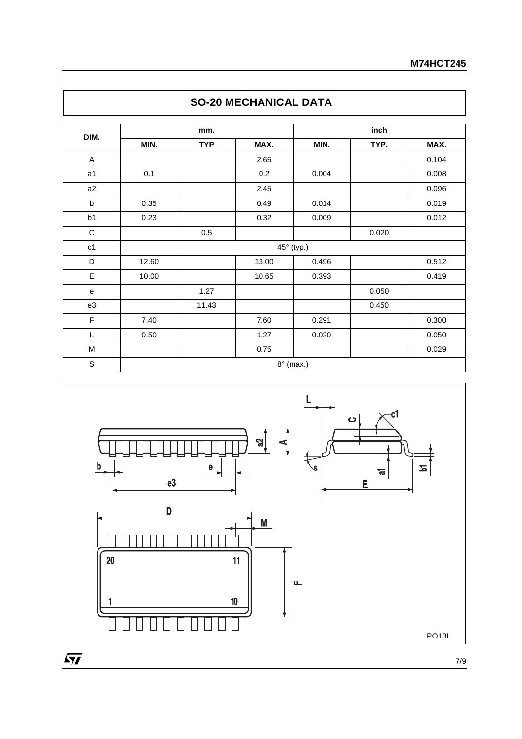| DIM.           |       | mm.        |       | inch       |       |       |  |  |  |
|----------------|-------|------------|-------|------------|-------|-------|--|--|--|
|                | MIN.  | <b>TYP</b> | MAX.  | MIN.       | TYP.  | MAX.  |  |  |  |
| A              |       |            | 2.65  |            |       | 0.104 |  |  |  |
| a <sub>1</sub> | 0.1   |            | 0.2   | 0.004      |       | 0.008 |  |  |  |
| a2             |       |            | 2.45  |            |       | 0.096 |  |  |  |
| b              | 0.35  |            | 0.49  | 0.014      |       | 0.019 |  |  |  |
| b1             | 0.23  |            | 0.32  | 0.009      |       | 0.012 |  |  |  |
| $\mathbf C$    |       | 0.5        |       |            | 0.020 |       |  |  |  |
| c1             |       |            |       | 45° (typ.) |       |       |  |  |  |
| D              | 12.60 |            | 13.00 | 0.496      |       | 0.512 |  |  |  |
| E              | 10.00 |            | 10.65 | 0.393      |       | 0.419 |  |  |  |
| ${\bf e}$      |       | 1.27       |       |            | 0.050 |       |  |  |  |
| e3             |       | 11.43      |       |            | 0.450 |       |  |  |  |
| F              | 7.40  |            | 7.60  | 0.291      |       | 0.300 |  |  |  |
| L              | 0.50  |            | 1.27  | 0.020      |       | 0.050 |  |  |  |
| M              |       |            | 0.75  |            |       | 0.029 |  |  |  |





7/9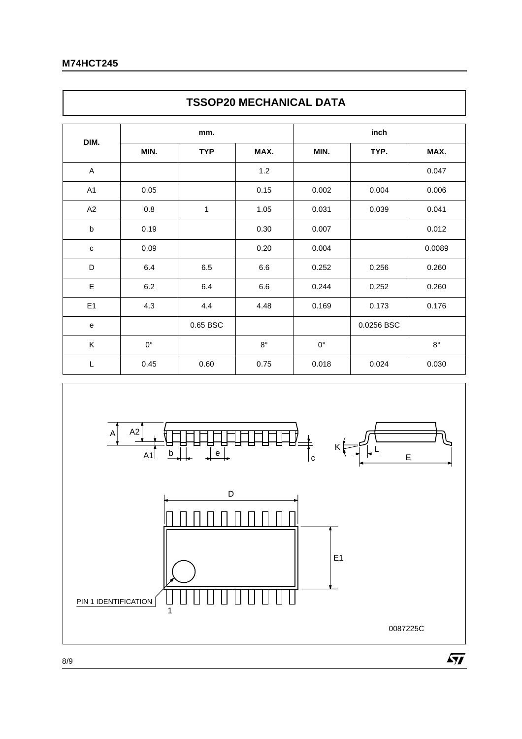$\mathsf{r}$ 

|                | <b>TSSOP20 MECHANICAL DATA</b> |            |             |             |            |             |  |  |  |  |  |
|----------------|--------------------------------|------------|-------------|-------------|------------|-------------|--|--|--|--|--|
|                |                                | mm.        |             | inch        |            |             |  |  |  |  |  |
| DIM.           | MIN.                           | <b>TYP</b> | MAX.        | MIN.        | TYP.       | MAX.        |  |  |  |  |  |
| A              |                                |            | 1.2         |             |            | 0.047       |  |  |  |  |  |
| A <sub>1</sub> | 0.05                           |            | 0.15        | 0.002       | 0.004      | 0.006       |  |  |  |  |  |
| A2             | 0.8                            | 1          | 1.05        | 0.031       | 0.039      | 0.041       |  |  |  |  |  |
| $\mathsf b$    | 0.19                           |            | 0.30        | 0.007       |            | 0.012       |  |  |  |  |  |
| $\mathbf C$    | 0.09                           |            | 0.20        | 0.004       |            | 0.0089      |  |  |  |  |  |
| D              | 6.4                            | 6.5        | 6.6         | 0.252       | 0.256      | 0.260       |  |  |  |  |  |
| E              | 6.2                            | 6.4        | 6.6         | 0.244       | 0.252      | 0.260       |  |  |  |  |  |
| E1             | 4.3                            | 4.4        | 4.48        | 0.169       | 0.173      | 0.176       |  |  |  |  |  |
| e              |                                | 0.65 BSC   |             |             | 0.0256 BSC |             |  |  |  |  |  |
| Κ              | $0^{\circ}$                    |            | $8^{\circ}$ | $0^{\circ}$ |            | $8^{\circ}$ |  |  |  |  |  |
| $\mathsf L$    | 0.45                           | 0.60       | 0.75        | 0.018       | 0.024      | 0.030       |  |  |  |  |  |



٦